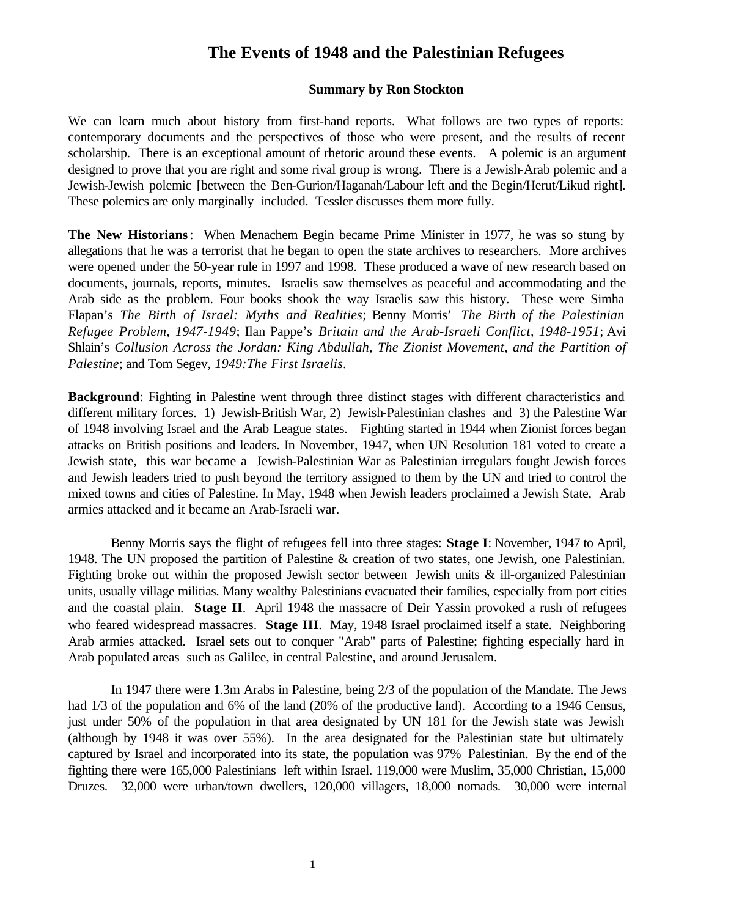# **The Events of 1948 and the Palestinian Refugees**

### **Summary by Ron Stockton**

We can learn much about history from first-hand reports. What follows are two types of reports: contemporary documents and the perspectives of those who were present, and the results of recent scholarship. There is an exceptional amount of rhetoric around these events. A polemic is an argument designed to prove that you are right and some rival group is wrong. There is a Jewish-Arab polemic and a Jewish-Jewish polemic [between the Ben-Gurion/Haganah/Labour left and the Begin/Herut/Likud right]. These polemics are only marginally included. Tessler discusses them more fully.

**The New Historians**: When Menachem Begin became Prime Minister in 1977, he was so stung by allegations that he was a terrorist that he began to open the state archives to researchers. More archives were opened under the 50-year rule in 1997 and 1998. These produced a wave of new research based on documents, journals, reports, minutes. Israelis saw themselves as peaceful and accommodating and the Arab side as the problem. Four books shook the way Israelis saw this history. These were Simha Flapan's *The Birth of Israel: Myths and Realities*; Benny Morris' *The Birth of the Palestinian Refugee Problem, 1947-1949*; Ilan Pappe's *Britain and the Arab-Israeli Conflict, 1948-1951*; Avi Shlain's *Collusion Across the Jordan: King Abdullah, The Zionist Movement, and the Partition of Palestine*; and Tom Segev, *1949:The First Israelis*.

**Background**: Fighting in Palestine went through three distinct stages with different characteristics and different military forces. 1) Jewish-British War, 2) Jewish-Palestinian clashes and 3) the Palestine War of 1948 involving Israel and the Arab League states. Fighting started in 1944 when Zionist forces began attacks on British positions and leaders. In November, 1947, when UN Resolution 181 voted to create a Jewish state, this war became a Jewish-Palestinian War as Palestinian irregulars fought Jewish forces and Jewish leaders tried to push beyond the territory assigned to them by the UN and tried to control the mixed towns and cities of Palestine. In May, 1948 when Jewish leaders proclaimed a Jewish State, Arab armies attacked and it became an Arab-Israeli war.

Benny Morris says the flight of refugees fell into three stages: **Stage I**: November, 1947 to April, 1948. The UN proposed the partition of Palestine & creation of two states, one Jewish, one Palestinian. Fighting broke out within the proposed Jewish sector between Jewish units & ill-organized Palestinian units, usually village militias. Many wealthy Palestinians evacuated their families, especially from port cities and the coastal plain. **Stage II**. April 1948 the massacre of Deir Yassin provoked a rush of refugees who feared widespread massacres. **Stage III**. May, 1948 Israel proclaimed itself a state. Neighboring Arab armies attacked. Israel sets out to conquer "Arab" parts of Palestine; fighting especially hard in Arab populated areas such as Galilee, in central Palestine, and around Jerusalem.

In 1947 there were 1.3m Arabs in Palestine, being 2/3 of the population of the Mandate. The Jews had 1/3 of the population and 6% of the land (20% of the productive land). According to a 1946 Census, just under 50% of the population in that area designated by UN 181 for the Jewish state was Jewish (although by 1948 it was over 55%). In the area designated for the Palestinian state but ultimately captured by Israel and incorporated into its state, the population was 97% Palestinian. By the end of the fighting there were 165,000 Palestinians left within Israel. 119,000 were Muslim, 35,000 Christian, 15,000 Druzes. 32,000 were urban/town dwellers, 120,000 villagers, 18,000 nomads. 30,000 were internal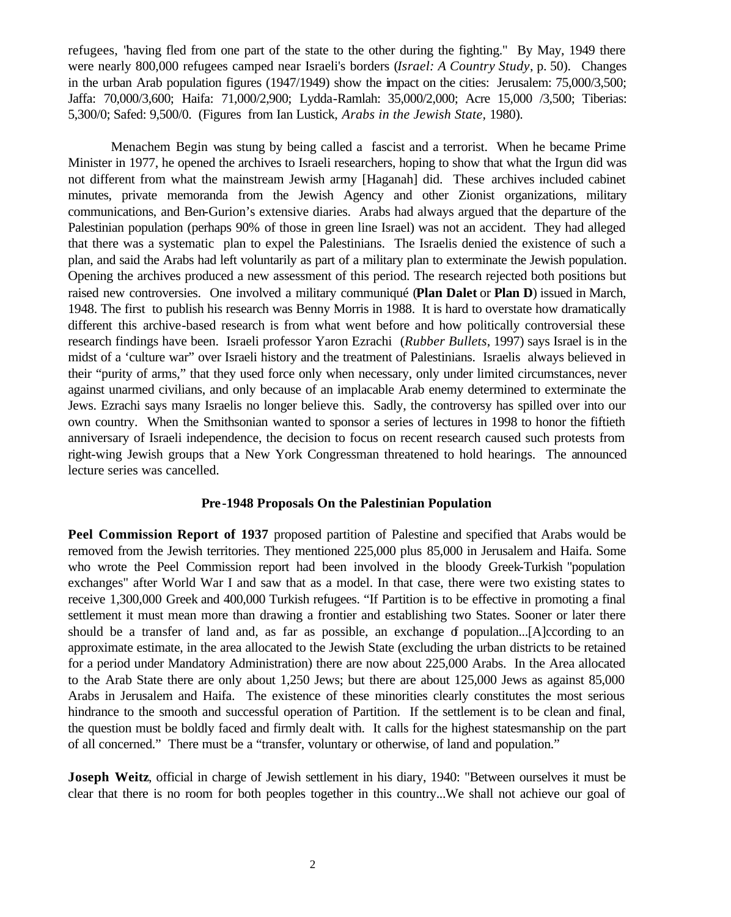refugees, "having fled from one part of the state to the other during the fighting." By May, 1949 there were nearly 800,000 refugees camped near Israeli's borders (*Israel: A Country Study*, p. 50). Changes in the urban Arab population figures (1947/1949) show the impact on the cities: Jerusalem: 75,000/3,500; Jaffa: 70,000/3,600; Haifa: 71,000/2,900; Lydda-Ramlah: 35,000/2,000; Acre 15,000 /3,500; Tiberias: 5,300/0; Safed: 9,500/0. (Figures from Ian Lustick, *Arabs in the Jewish State,* 1980).

Menachem Begin was stung by being called a fascist and a terrorist. When he became Prime Minister in 1977, he opened the archives to Israeli researchers, hoping to show that what the Irgun did was not different from what the mainstream Jewish army [Haganah] did. These archives included cabinet minutes, private memoranda from the Jewish Agency and other Zionist organizations, military communications, and Ben-Gurion's extensive diaries. Arabs had always argued that the departure of the Palestinian population (perhaps 90% of those in green line Israel) was not an accident. They had alleged that there was a systematic plan to expel the Palestinians. The Israelis denied the existence of such a plan, and said the Arabs had left voluntarily as part of a military plan to exterminate the Jewish population. Opening the archives produced a new assessment of this period. The research rejected both positions but raised new controversies. One involved a military communiqué (**Plan Dalet** or **Plan D**) issued in March, 1948. The first to publish his research was Benny Morris in 1988. It is hard to overstate how dramatically different this archive-based research is from what went before and how politically controversial these research findings have been. Israeli professor Yaron Ezrachi (*Rubber Bullets*, 1997) says Israel is in the midst of a 'culture war" over Israeli history and the treatment of Palestinians. Israelis always believed in their "purity of arms," that they used force only when necessary, only under limited circumstances, never against unarmed civilians, and only because of an implacable Arab enemy determined to exterminate the Jews. Ezrachi says many Israelis no longer believe this. Sadly, the controversy has spilled over into our own country. When the Smithsonian wanted to sponsor a series of lectures in 1998 to honor the fiftieth anniversary of Israeli independence, the decision to focus on recent research caused such protests from right-wing Jewish groups that a New York Congressman threatened to hold hearings. The announced lecture series was cancelled.

### **Pre-1948 Proposals On the Palestinian Population**

**Peel Commission Report of 1937** proposed partition of Palestine and specified that Arabs would be removed from the Jewish territories. They mentioned 225,000 plus 85,000 in Jerusalem and Haifa. Some who wrote the Peel Commission report had been involved in the bloody Greek-Turkish "population exchanges" after World War I and saw that as a model. In that case, there were two existing states to receive 1,300,000 Greek and 400,000 Turkish refugees. "If Partition is to be effective in promoting a final settlement it must mean more than drawing a frontier and establishing two States. Sooner or later there should be a transfer of land and, as far as possible, an exchange of population... $[A]$ ccording to an approximate estimate, in the area allocated to the Jewish State (excluding the urban districts to be retained for a period under Mandatory Administration) there are now about 225,000 Arabs. In the Area allocated to the Arab State there are only about 1,250 Jews; but there are about 125,000 Jews as against 85,000 Arabs in Jerusalem and Haifa. The existence of these minorities clearly constitutes the most serious hindrance to the smooth and successful operation of Partition. If the settlement is to be clean and final, the question must be boldly faced and firmly dealt with. It calls for the highest statesmanship on the part of all concerned." There must be a "transfer, voluntary or otherwise, of land and population."

**Joseph Weitz**, official in charge of Jewish settlement in his diary, 1940: "Between ourselves it must be clear that there is no room for both peoples together in this country...We shall not achieve our goal of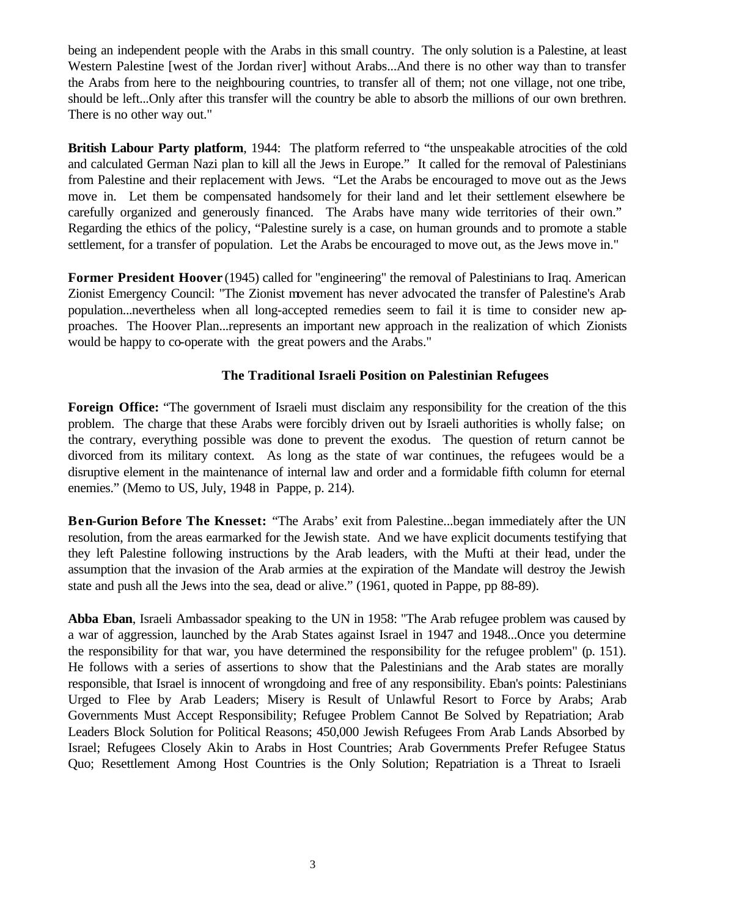being an independent people with the Arabs in this small country. The only solution is a Palestine, at least Western Palestine [west of the Jordan river] without Arabs...And there is no other way than to transfer the Arabs from here to the neighbouring countries, to transfer all of them; not one village, not one tribe, should be left...Only after this transfer will the country be able to absorb the millions of our own brethren. There is no other way out."

**British Labour Party platform**, 1944: The platform referred to "the unspeakable atrocities of the cold and calculated German Nazi plan to kill all the Jews in Europe." It called for the removal of Palestinians from Palestine and their replacement with Jews. "Let the Arabs be encouraged to move out as the Jews move in. Let them be compensated handsomely for their land and let their settlement elsewhere be carefully organized and generously financed. The Arabs have many wide territories of their own." Regarding the ethics of the policy, "Palestine surely is a case, on human grounds and to promote a stable settlement, for a transfer of population. Let the Arabs be encouraged to move out, as the Jews move in."

**Former President Hoover** (1945) called for "engineering" the removal of Palestinians to Iraq. American Zionist Emergency Council: "The Zionist movement has never advocated the transfer of Palestine's Arab population...nevertheless when all long-accepted remedies seem to fail it is time to consider new approaches. The Hoover Plan...represents an important new approach in the realization of which Zionists would be happy to co-operate with the great powers and the Arabs."

### **The Traditional Israeli Position on Palestinian Refugees**

**Foreign Office:** "The government of Israeli must disclaim any responsibility for the creation of the this problem. The charge that these Arabs were forcibly driven out by Israeli authorities is wholly false; on the contrary, everything possible was done to prevent the exodus. The question of return cannot be divorced from its military context. As long as the state of war continues, the refugees would be a disruptive element in the maintenance of internal law and order and a formidable fifth column for eternal enemies." (Memo to US, July, 1948 in Pappe, p. 214).

**Ben-Gurion Before The Knesset:** "The Arabs' exit from Palestine...began immediately after the UN resolution, from the areas earmarked for the Jewish state. And we have explicit documents testifying that they left Palestine following instructions by the Arab leaders, with the Mufti at their head, under the assumption that the invasion of the Arab armies at the expiration of the Mandate will destroy the Jewish state and push all the Jews into the sea, dead or alive." (1961, quoted in Pappe, pp 88-89).

**Abba Eban**, Israeli Ambassador speaking to the UN in 1958: "The Arab refugee problem was caused by a war of aggression, launched by the Arab States against Israel in 1947 and 1948...Once you determine the responsibility for that war, you have determined the responsibility for the refugee problem" (p. 151). He follows with a series of assertions to show that the Palestinians and the Arab states are morally responsible, that Israel is innocent of wrongdoing and free of any responsibility. Eban's points: Palestinians Urged to Flee by Arab Leaders; Misery is Result of Unlawful Resort to Force by Arabs; Arab Governments Must Accept Responsibility; Refugee Problem Cannot Be Solved by Repatriation; Arab Leaders Block Solution for Political Reasons; 450,000 Jewish Refugees From Arab Lands Absorbed by Israel; Refugees Closely Akin to Arabs in Host Countries; Arab Governments Prefer Refugee Status Quo; Resettlement Among Host Countries is the Only Solution; Repatriation is a Threat to Israeli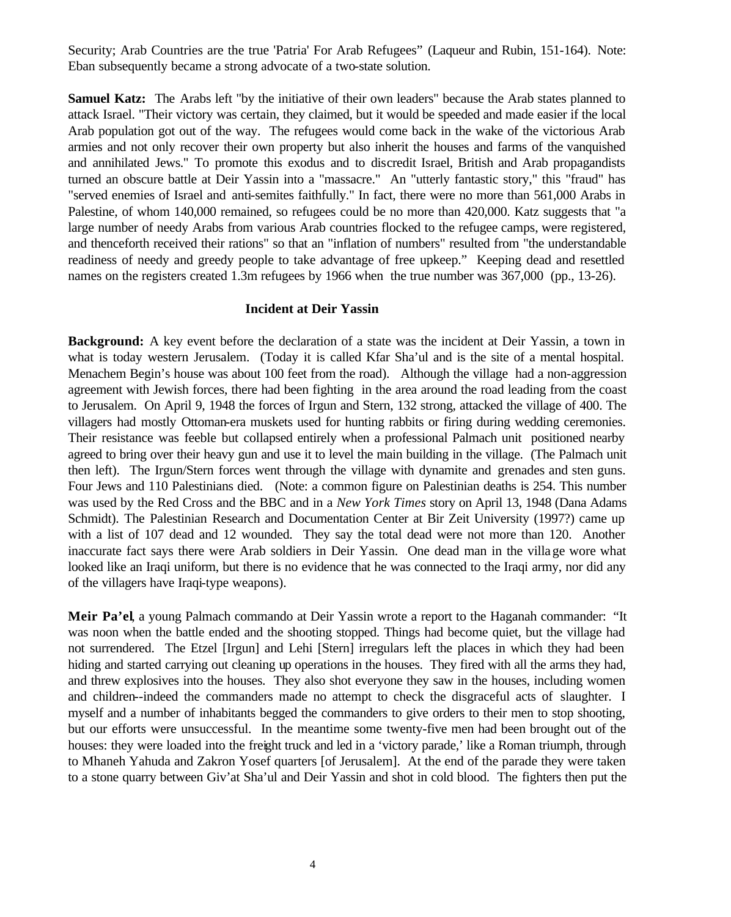Security; Arab Countries are the true 'Patria' For Arab Refugees" (Laqueur and Rubin, 151-164). Note: Eban subsequently became a strong advocate of a two-state solution.

**Samuel Katz:** The Arabs left "by the initiative of their own leaders" because the Arab states planned to attack Israel. "Their victory was certain, they claimed, but it would be speeded and made easier if the local Arab population got out of the way. The refugees would come back in the wake of the victorious Arab armies and not only recover their own property but also inherit the houses and farms of the vanquished and annihilated Jews." To promote this exodus and to discredit Israel, British and Arab propagandists turned an obscure battle at Deir Yassin into a "massacre." An "utterly fantastic story," this "fraud" has "served enemies of Israel and anti-semites faithfully." In fact, there were no more than 561,000 Arabs in Palestine, of whom 140,000 remained, so refugees could be no more than 420,000. Katz suggests that "a large number of needy Arabs from various Arab countries flocked to the refugee camps, were registered, and thenceforth received their rations" so that an "inflation of numbers" resulted from "the understandable readiness of needy and greedy people to take advantage of free upkeep." Keeping dead and resettled names on the registers created 1.3m refugees by 1966 when the true number was 367,000 (pp., 13-26).

### **Incident at Deir Yassin**

**Background:** A key event before the declaration of a state was the incident at Deir Yassin, a town in what is today western Jerusalem. (Today it is called Kfar Sha'ul and is the site of a mental hospital. Menachem Begin's house was about 100 feet from the road). Although the village had a non-aggression agreement with Jewish forces, there had been fighting in the area around the road leading from the coast to Jerusalem. On April 9, 1948 the forces of Irgun and Stern, 132 strong, attacked the village of 400. The villagers had mostly Ottoman-era muskets used for hunting rabbits or firing during wedding ceremonies. Their resistance was feeble but collapsed entirely when a professional Palmach unit positioned nearby agreed to bring over their heavy gun and use it to level the main building in the village. (The Palmach unit then left). The Irgun/Stern forces went through the village with dynamite and grenades and sten guns. Four Jews and 110 Palestinians died. (Note: a common figure on Palestinian deaths is 254. This number was used by the Red Cross and the BBC and in a *New York Times* story on April 13, 1948 (Dana Adams Schmidt). The Palestinian Research and Documentation Center at Bir Zeit University (1997?) came up with a list of 107 dead and 12 wounded. They say the total dead were not more than 120. Another inaccurate fact says there were Arab soldiers in Deir Yassin. One dead man in the village wore what looked like an Iraqi uniform, but there is no evidence that he was connected to the Iraqi army, nor did any of the villagers have Iraqi-type weapons).

**Meir Pa'el**, a young Palmach commando at Deir Yassin wrote a report to the Haganah commander: "It was noon when the battle ended and the shooting stopped. Things had become quiet, but the village had not surrendered. The Etzel [Irgun] and Lehi [Stern] irregulars left the places in which they had been hiding and started carrying out cleaning up operations in the houses. They fired with all the arms they had, and threw explosives into the houses. They also shot everyone they saw in the houses, including women and children--indeed the commanders made no attempt to check the disgraceful acts of slaughter. I myself and a number of inhabitants begged the commanders to give orders to their men to stop shooting, but our efforts were unsuccessful. In the meantime some twenty-five men had been brought out of the houses: they were loaded into the freight truck and led in a 'victory parade,' like a Roman triumph, through to Mhaneh Yahuda and Zakron Yosef quarters [of Jerusalem]. At the end of the parade they were taken to a stone quarry between Giv'at Sha'ul and Deir Yassin and shot in cold blood. The fighters then put the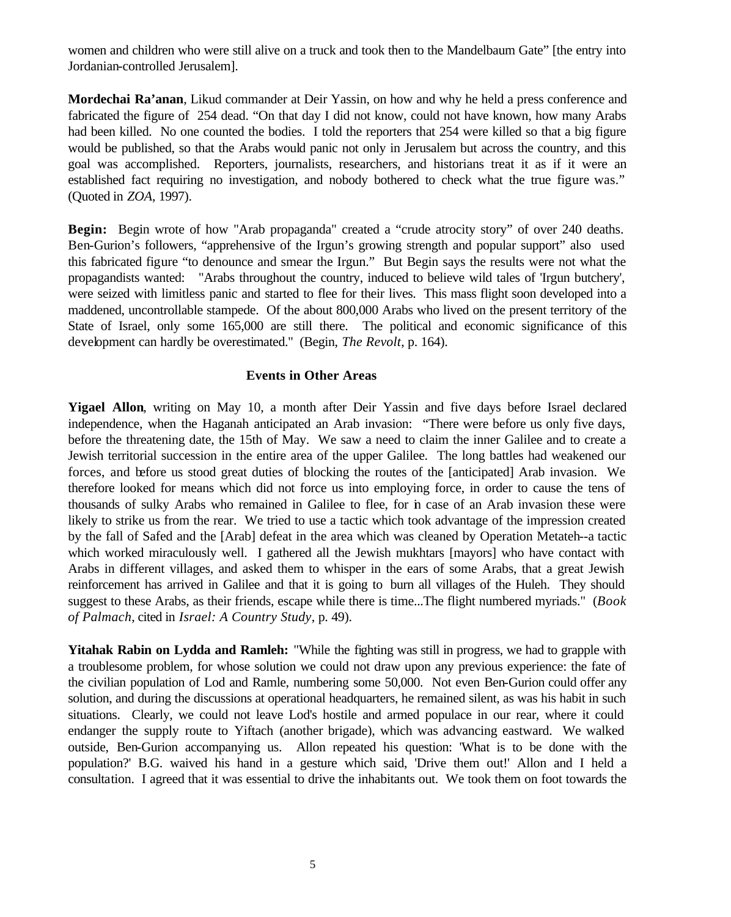women and children who were still alive on a truck and took then to the Mandelbaum Gate" [the entry into Jordanian-controlled Jerusalem].

**Mordechai Ra'anan**, Likud commander at Deir Yassin, on how and why he held a press conference and fabricated the figure of 254 dead. "On that day I did not know, could not have known, how many Arabs had been killed. No one counted the bodies. I told the reporters that 254 were killed so that a big figure would be published, so that the Arabs would panic not only in Jerusalem but across the country, and this goal was accomplished. Reporters, journalists, researchers, and historians treat it as if it were an established fact requiring no investigation, and nobody bothered to check what the true figure was." (Quoted in *ZOA*, 1997).

**Begin:** Begin wrote of how "Arab propaganda" created a "crude atrocity story" of over 240 deaths. Ben-Gurion's followers, "apprehensive of the Irgun's growing strength and popular support" also used this fabricated figure "to denounce and smear the Irgun." But Begin says the results were not what the propagandists wanted: "Arabs throughout the country, induced to believe wild tales of 'Irgun butchery', were seized with limitless panic and started to flee for their lives. This mass flight soon developed into a maddened, uncontrollable stampede. Of the about 800,000 Arabs who lived on the present territory of the State of Israel, only some  $165,000$  are still there. The political and economic significance of this development can hardly be overestimated." (Begin, *The Revolt*, p. 164).

#### **Events in Other Areas**

**Yigael Allon**, writing on May 10, a month after Deir Yassin and five days before Israel declared independence, when the Haganah anticipated an Arab invasion: "There were before us only five days, before the threatening date, the 15th of May. We saw a need to claim the inner Galilee and to create a Jewish territorial succession in the entire area of the upper Galilee. The long battles had weakened our forces, and before us stood great duties of blocking the routes of the [anticipated] Arab invasion. We therefore looked for means which did not force us into employing force, in order to cause the tens of thousands of sulky Arabs who remained in Galilee to flee, for in case of an Arab invasion these were likely to strike us from the rear. We tried to use a tactic which took advantage of the impression created by the fall of Safed and the [Arab] defeat in the area which was cleaned by Operation Metateh--a tactic which worked miraculously well. I gathered all the Jewish mukhtars [mayors] who have contact with Arabs in different villages, and asked them to whisper in the ears of some Arabs, that a great Jewish reinforcement has arrived in Galilee and that it is going to burn all villages of the Huleh. They should suggest to these Arabs, as their friends, escape while there is time...The flight numbered myriads." (*Book of Palmach*, cited in *Israel: A Country Study*, p. 49).

**Yitahak Rabin on Lydda and Ramleh:** "While the fighting was still in progress, we had to grapple with a troublesome problem, for whose solution we could not draw upon any previous experience: the fate of the civilian population of Lod and Ramle, numbering some 50,000. Not even Ben-Gurion could offer any solution, and during the discussions at operational headquarters, he remained silent, as was his habit in such situations. Clearly, we could not leave Lod's hostile and armed populace in our rear, where it could endanger the supply route to Yiftach (another brigade), which was advancing eastward. We walked outside, Ben-Gurion accompanying us. Allon repeated his question: 'What is to be done with the population?' B.G. waived his hand in a gesture which said, 'Drive them out!' Allon and I held a consultation. I agreed that it was essential to drive the inhabitants out. We took them on foot towards the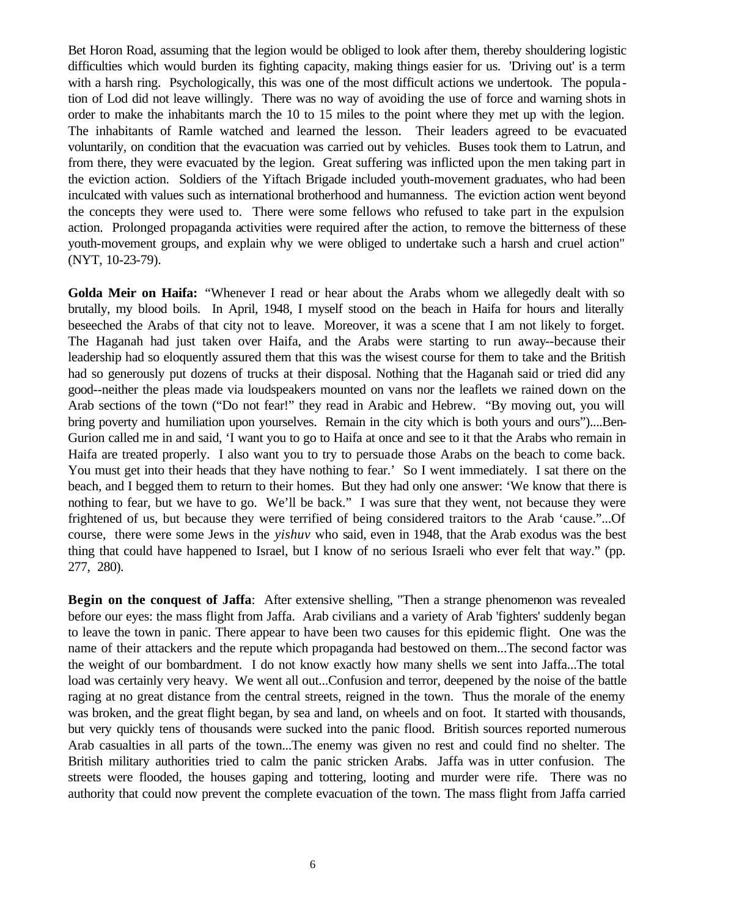Bet Horon Road, assuming that the legion would be obliged to look after them, thereby shouldering logistic difficulties which would burden its fighting capacity, making things easier for us. 'Driving out' is a term with a harsh ring. Psychologically, this was one of the most difficult actions we undertook. The population of Lod did not leave willingly. There was no way of avoiding the use of force and warning shots in order to make the inhabitants march the 10 to 15 miles to the point where they met up with the legion. The inhabitants of Ramle watched and learned the lesson. Their leaders agreed to be evacuated voluntarily, on condition that the evacuation was carried out by vehicles. Buses took them to Latrun, and from there, they were evacuated by the legion. Great suffering was inflicted upon the men taking part in the eviction action. Soldiers of the Yiftach Brigade included youth-movement graduates, who had been inculcated with values such as international brotherhood and humanness. The eviction action went beyond the concepts they were used to. There were some fellows who refused to take part in the expulsion action. Prolonged propaganda activities were required after the action, to remove the bitterness of these youth-movement groups, and explain why we were obliged to undertake such a harsh and cruel action" (NYT, 10-23-79).

**Golda Meir on Haifa:** "Whenever I read or hear about the Arabs whom we allegedly dealt with so brutally, my blood boils. In April, 1948, I myself stood on the beach in Haifa for hours and literally beseeched the Arabs of that city not to leave. Moreover, it was a scene that I am not likely to forget. The Haganah had just taken over Haifa, and the Arabs were starting to run away--because their leadership had so eloquently assured them that this was the wisest course for them to take and the British had so generously put dozens of trucks at their disposal. Nothing that the Haganah said or tried did any good--neither the pleas made via loudspeakers mounted on vans nor the leaflets we rained down on the Arab sections of the town ("Do not fear!" they read in Arabic and Hebrew. "By moving out, you will bring poverty and humiliation upon yourselves. Remain in the city which is both yours and ours")....Ben-Gurion called me in and said, 'I want you to go to Haifa at once and see to it that the Arabs who remain in Haifa are treated properly. I also want you to try to persuade those Arabs on the beach to come back. You must get into their heads that they have nothing to fear.' So I went immediately. I sat there on the beach, and I begged them to return to their homes. But they had only one answer: 'We know that there is nothing to fear, but we have to go. We'll be back." I was sure that they went, not because they were frightened of us, but because they were terrified of being considered traitors to the Arab 'cause."...Of course, there were some Jews in the *yishuv* who said, even in 1948, that the Arab exodus was the best thing that could have happened to Israel, but I know of no serious Israeli who ever felt that way." (pp. 277, 280).

**Begin on the conquest of Jaffa**: After extensive shelling, "Then a strange phenomenon was revealed before our eyes: the mass flight from Jaffa. Arab civilians and a variety of Arab 'fighters' suddenly began to leave the town in panic. There appear to have been two causes for this epidemic flight. One was the name of their attackers and the repute which propaganda had bestowed on them...The second factor was the weight of our bombardment. I do not know exactly how many shells we sent into Jaffa...The total load was certainly very heavy. We went all out...Confusion and terror, deepened by the noise of the battle raging at no great distance from the central streets, reigned in the town. Thus the morale of the enemy was broken, and the great flight began, by sea and land, on wheels and on foot. It started with thousands, but very quickly tens of thousands were sucked into the panic flood. British sources reported numerous Arab casualties in all parts of the town...The enemy was given no rest and could find no shelter. The British military authorities tried to calm the panic stricken Arabs. Jaffa was in utter confusion. The streets were flooded, the houses gaping and tottering, looting and murder were rife. There was no authority that could now prevent the complete evacuation of the town. The mass flight from Jaffa carried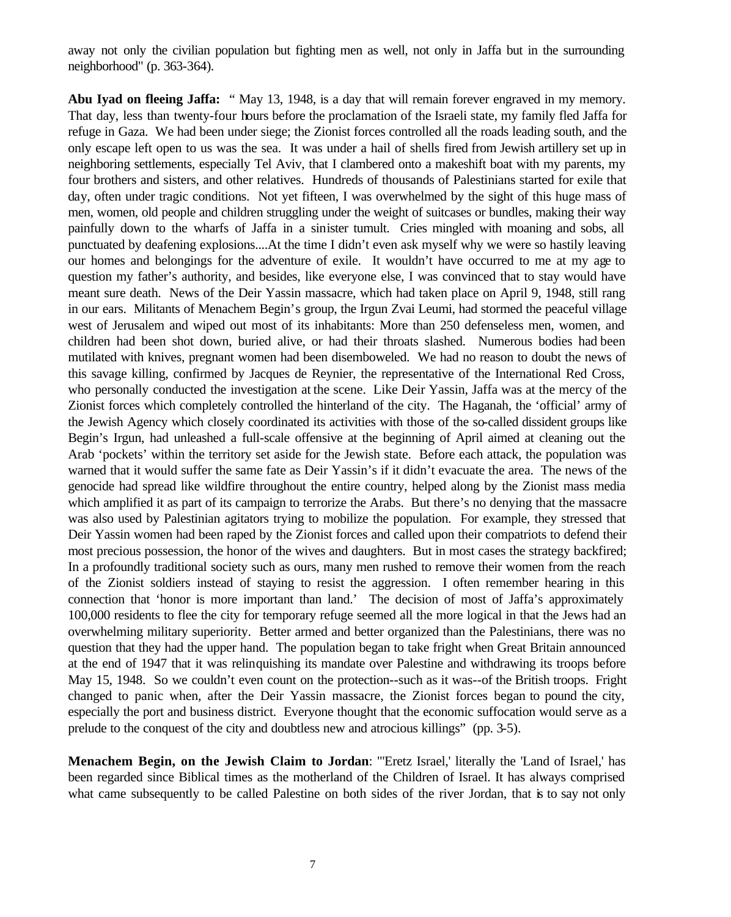away not only the civilian population but fighting men as well, not only in Jaffa but in the surrounding neighborhood" (p. 363-364).

**Abu Iyad on fleeing Jaffa:** " May 13, 1948, is a day that will remain forever engraved in my memory. That day, less than twenty-four hours before the proclamation of the Israeli state, my family fled Jaffa for refuge in Gaza. We had been under siege; the Zionist forces controlled all the roads leading south, and the only escape left open to us was the sea. It was under a hail of shells fired from Jewish artillery set up in neighboring settlements, especially Tel Aviv, that I clambered onto a makeshift boat with my parents, my four brothers and sisters, and other relatives. Hundreds of thousands of Palestinians started for exile that day, often under tragic conditions. Not yet fifteen, I was overwhelmed by the sight of this huge mass of men, women, old people and children struggling under the weight of suitcases or bundles, making their way painfully down to the wharfs of Jaffa in a sinister tumult. Cries mingled with moaning and sobs, all punctuated by deafening explosions....At the time I didn't even ask myself why we were so hastily leaving our homes and belongings for the adventure of exile. It wouldn't have occurred to me at my age to question my father's authority, and besides, like everyone else, I was convinced that to stay would have meant sure death. News of the Deir Yassin massacre, which had taken place on April 9, 1948, still rang in our ears. Militants of Menachem Begin's group, the Irgun Zvai Leumi, had stormed the peaceful village west of Jerusalem and wiped out most of its inhabitants: More than 250 defenseless men, women, and children had been shot down, buried alive, or had their throats slashed. Numerous bodies had been mutilated with knives, pregnant women had been disemboweled. We had no reason to doubt the news of this savage killing, confirmed by Jacques de Reynier, the representative of the International Red Cross, who personally conducted the investigation at the scene. Like Deir Yassin, Jaffa was at the mercy of the Zionist forces which completely controlled the hinterland of the city. The Haganah, the 'official' army of the Jewish Agency which closely coordinated its activities with those of the so-called dissident groups like Begin's Irgun, had unleashed a full-scale offensive at the beginning of April aimed at cleaning out the Arab 'pockets' within the territory set aside for the Jewish state. Before each attack, the population was warned that it would suffer the same fate as Deir Yassin's if it didn't evacuate the area. The news of the genocide had spread like wildfire throughout the entire country, helped along by the Zionist mass media which amplified it as part of its campaign to terrorize the Arabs. But there's no denying that the massacre was also used by Palestinian agitators trying to mobilize the population. For example, they stressed that Deir Yassin women had been raped by the Zionist forces and called upon their compatriots to defend their most precious possession, the honor of the wives and daughters. But in most cases the strategy backfired; In a profoundly traditional society such as ours, many men rushed to remove their women from the reach of the Zionist soldiers instead of staying to resist the aggression. I often remember hearing in this connection that 'honor is more important than land.' The decision of most of Jaffa's approximately 100,000 residents to flee the city for temporary refuge seemed all the more logical in that the Jews had an overwhelming military superiority. Better armed and better organized than the Palestinians, there was no question that they had the upper hand. The population began to take fright when Great Britain announced at the end of 1947 that it was relinquishing its mandate over Palestine and withdrawing its troops before May 15, 1948. So we couldn't even count on the protection--such as it was--of the British troops. Fright changed to panic when, after the Deir Yassin massacre, the Zionist forces began to pound the city, especially the port and business district. Everyone thought that the economic suffocation would serve as a prelude to the conquest of the city and doubtless new and atrocious killings" (pp. 3-5).

**Menachem Begin, on the Jewish Claim to Jordan**: "'Eretz Israel,' literally the 'Land of Israel,' has been regarded since Biblical times as the motherland of the Children of Israel. It has always comprised what came subsequently to be called Palestine on both sides of the river Jordan, that is to say not only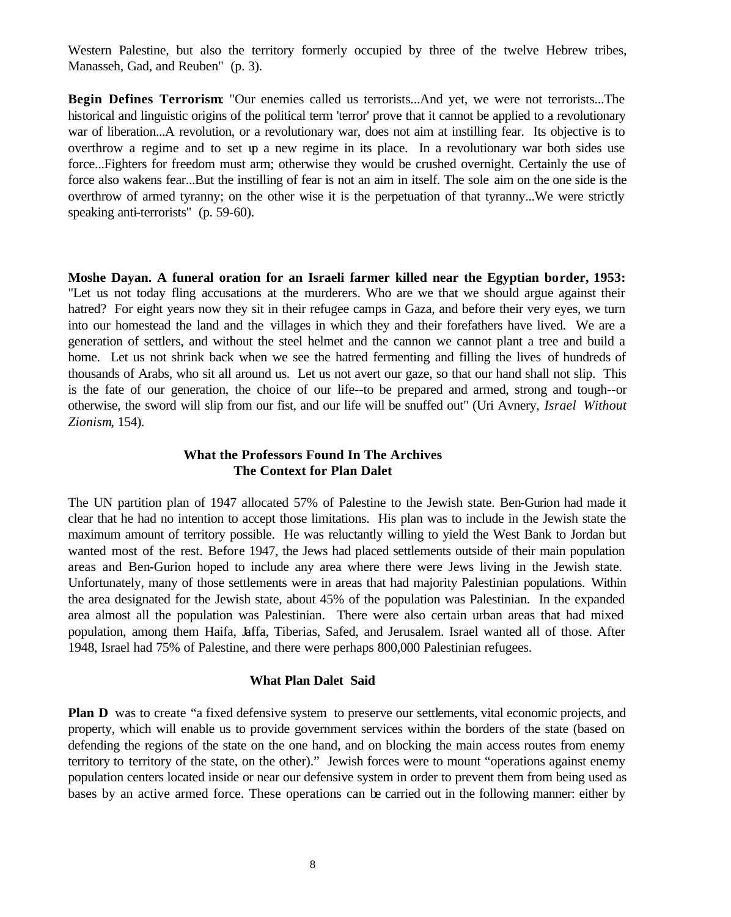Western Palestine, but also the territory formerly occupied by three of the twelve Hebrew tribes, Manasseh, Gad, and Reuben" (p. 3).

**Begin Defines Terrorism**: "Our enemies called us terrorists...And yet, we were not terrorists...The historical and linguistic origins of the political term 'terror' prove that it cannot be applied to a revolutionary war of liberation...A revolution, or a revolutionary war, does not aim at instilling fear. Its objective is to overthrow a regime and to set up a new regime in its place. In a revolutionary war both sides use force...Fighters for freedom must arm; otherwise they would be crushed overnight. Certainly the use of force also wakens fear...But the instilling of fear is not an aim in itself. The sole aim on the one side is the overthrow of armed tyranny; on the other wise it is the perpetuation of that tyranny...We were strictly speaking anti-terrorists" (p. 59-60).

**Moshe Dayan. A funeral oration for an Israeli farmer killed near the Egyptian border, 1953:**  "Let us not today fling accusations at the murderers. Who are we that we should argue against their hatred? For eight years now they sit in their refugee camps in Gaza, and before their very eyes, we turn into our homestead the land and the villages in which they and their forefathers have lived. We are a generation of settlers, and without the steel helmet and the cannon we cannot plant a tree and build a home. Let us not shrink back when we see the hatred fermenting and filling the lives of hundreds of thousands of Arabs, who sit all around us. Let us not avert our gaze, so that our hand shall not slip. This is the fate of our generation, the choice of our life--to be prepared and armed, strong and tough--or otherwise, the sword will slip from our fist, and our life will be snuffed out" (Uri Avnery, *Israel Without Zionism*, 154).

### **What the Professors Found In The Archives The Context for Plan Dalet**

The UN partition plan of 1947 allocated 57% of Palestine to the Jewish state. Ben-Gurion had made it clear that he had no intention to accept those limitations. His plan was to include in the Jewish state the maximum amount of territory possible. He was reluctantly willing to yield the West Bank to Jordan but wanted most of the rest. Before 1947, the Jews had placed settlements outside of their main population areas and Ben-Gurion hoped to include any area where there were Jews living in the Jewish state. Unfortunately, many of those settlements were in areas that had majority Palestinian populations. Within the area designated for the Jewish state, about 45% of the population was Palestinian. In the expanded area almost all the population was Palestinian. There were also certain urban areas that had mixed population, among them Haifa, Jaffa, Tiberias, Safed, and Jerusalem. Israel wanted all of those. After 1948, Israel had 75% of Palestine, and there were perhaps 800,000 Palestinian refugees.

### **What Plan Dalet Said**

**Plan D** was to create "a fixed defensive system to preserve our settlements, vital economic projects, and property, which will enable us to provide government services within the borders of the state (based on defending the regions of the state on the one hand, and on blocking the main access routes from enemy territory to territory of the state, on the other)." Jewish forces were to mount "operations against enemy population centers located inside or near our defensive system in order to prevent them from being used as bases by an active armed force. These operations can be carried out in the following manner: either by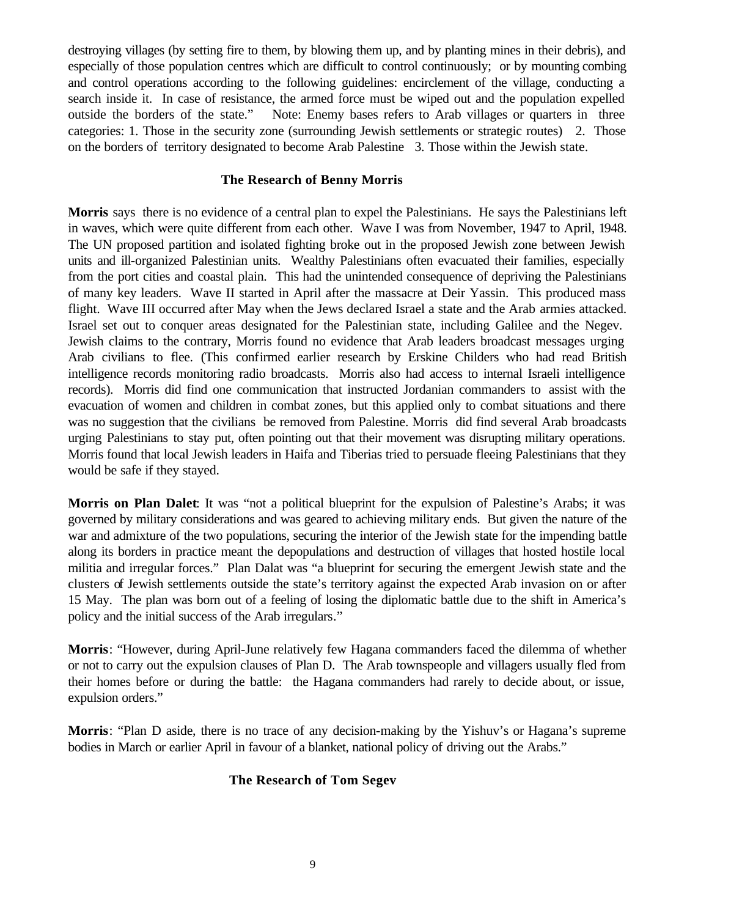destroying villages (by setting fire to them, by blowing them up, and by planting mines in their debris), and especially of those population centres which are difficult to control continuously; or by mounting combing and control operations according to the following guidelines: encirclement of the village, conducting a search inside it. In case of resistance, the armed force must be wiped out and the population expelled outside the borders of the state." Note: Enemy bases refers to Arab villages or quarters in three categories: 1. Those in the security zone (surrounding Jewish settlements or strategic routes) 2. Those on the borders of territory designated to become Arab Palestine 3. Those within the Jewish state.

### **The Research of Benny Morris**

**Morris** says there is no evidence of a central plan to expel the Palestinians. He says the Palestinians left in waves, which were quite different from each other. Wave I was from November, 1947 to April, 1948. The UN proposed partition and isolated fighting broke out in the proposed Jewish zone between Jewish units and ill-organized Palestinian units. Wealthy Palestinians often evacuated their families, especially from the port cities and coastal plain. This had the unintended consequence of depriving the Palestinians of many key leaders. Wave II started in April after the massacre at Deir Yassin. This produced mass flight. Wave III occurred after May when the Jews declared Israel a state and the Arab armies attacked. Israel set out to conquer areas designated for the Palestinian state, including Galilee and the Negev. Jewish claims to the contrary, Morris found no evidence that Arab leaders broadcast messages urging Arab civilians to flee. (This confirmed earlier research by Erskine Childers who had read British intelligence records monitoring radio broadcasts. Morris also had access to internal Israeli intelligence records). Morris did find one communication that instructed Jordanian commanders to assist with the evacuation of women and children in combat zones, but this applied only to combat situations and there was no suggestion that the civilians be removed from Palestine. Morris did find several Arab broadcasts urging Palestinians to stay put, often pointing out that their movement was disrupting military operations. Morris found that local Jewish leaders in Haifa and Tiberias tried to persuade fleeing Palestinians that they would be safe if they stayed.

**Morris on Plan Dalet**: It was "not a political blueprint for the expulsion of Palestine's Arabs; it was governed by military considerations and was geared to achieving military ends. But given the nature of the war and admixture of the two populations, securing the interior of the Jewish state for the impending battle along its borders in practice meant the depopulations and destruction of villages that hosted hostile local militia and irregular forces." Plan Dalat was "a blueprint for securing the emergent Jewish state and the clusters of Jewish settlements outside the state's territory against the expected Arab invasion on or after 15 May. The plan was born out of a feeling of losing the diplomatic battle due to the shift in America's policy and the initial success of the Arab irregulars."

**Morris**: "However, during April-June relatively few Hagana commanders faced the dilemma of whether or not to carry out the expulsion clauses of Plan D. The Arab townspeople and villagers usually fled from their homes before or during the battle: the Hagana commanders had rarely to decide about, or issue, expulsion orders."

**Morris**: "Plan D aside, there is no trace of any decision-making by the Yishuv's or Hagana's supreme bodies in March or earlier April in favour of a blanket, national policy of driving out the Arabs."

### **The Research of Tom Segev**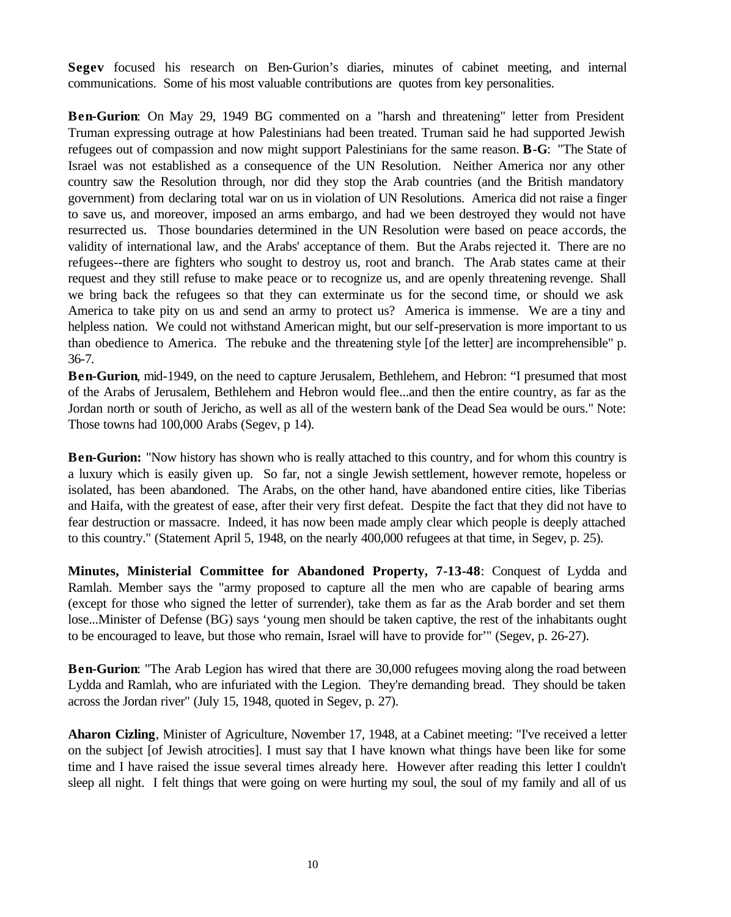**Segev** focused his research on Ben-Gurion's diaries, minutes of cabinet meeting, and internal communications. Some of his most valuable contributions are quotes from key personalities.

**Ben-Gurion**: On May 29, 1949 BG commented on a "harsh and threatening" letter from President Truman expressing outrage at how Palestinians had been treated. Truman said he had supported Jewish refugees out of compassion and now might support Palestinians for the same reason. **B-G**: "The State of Israel was not established as a consequence of the UN Resolution. Neither America nor any other country saw the Resolution through, nor did they stop the Arab countries (and the British mandatory government) from declaring total war on us in violation of UN Resolutions. America did not raise a finger to save us, and moreover, imposed an arms embargo, and had we been destroyed they would not have resurrected us. Those boundaries determined in the UN Resolution were based on peace accords, the validity of international law, and the Arabs' acceptance of them. But the Arabs rejected it. There are no refugees--there are fighters who sought to destroy us, root and branch. The Arab states came at their request and they still refuse to make peace or to recognize us, and are openly threatening revenge. Shall we bring back the refugees so that they can exterminate us for the second time, or should we ask America to take pity on us and send an army to protect us? America is immense. We are a tiny and helpless nation. We could not withstand American might, but our self-preservation is more important to us than obedience to America. The rebuke and the threatening style [of the letter] are incomprehensible" p. 36-7.

**Ben-Gurion**, mid-1949, on the need to capture Jerusalem, Bethlehem, and Hebron: "I presumed that most of the Arabs of Jerusalem, Bethlehem and Hebron would flee...and then the entire country, as far as the Jordan north or south of Jericho, as well as all of the western bank of the Dead Sea would be ours." Note: Those towns had 100,000 Arabs (Segev, p 14).

**Ben-Gurion:** "Now history has shown who is really attached to this country, and for whom this country is a luxury which is easily given up. So far, not a single Jewish settlement, however remote, hopeless or isolated, has been abandoned. The Arabs, on the other hand, have abandoned entire cities, like Tiberias and Haifa, with the greatest of ease, after their very first defeat. Despite the fact that they did not have to fear destruction or massacre. Indeed, it has now been made amply clear which people is deeply attached to this country." (Statement April 5, 1948, on the nearly 400,000 refugees at that time, in Segev, p. 25).

**Minutes, Ministerial Committee for Abandoned Property, 7-13-48**: Conquest of Lydda and Ramlah. Member says the "army proposed to capture all the men who are capable of bearing arms (except for those who signed the letter of surrender), take them as far as the Arab border and set them lose...Minister of Defense (BG) says 'young men should be taken captive, the rest of the inhabitants ought to be encouraged to leave, but those who remain, Israel will have to provide for'" (Segev, p. 26-27).

**Ben-Gurion**: "The Arab Legion has wired that there are 30,000 refugees moving along the road between Lydda and Ramlah, who are infuriated with the Legion. They're demanding bread. They should be taken across the Jordan river" (July 15, 1948, quoted in Segev, p. 27).

**Aharon Cizling**, Minister of Agriculture, November 17, 1948, at a Cabinet meeting: "I've received a letter on the subject [of Jewish atrocities]. I must say that I have known what things have been like for some time and I have raised the issue several times already here. However after reading this letter I couldn't sleep all night. I felt things that were going on were hurting my soul, the soul of my family and all of us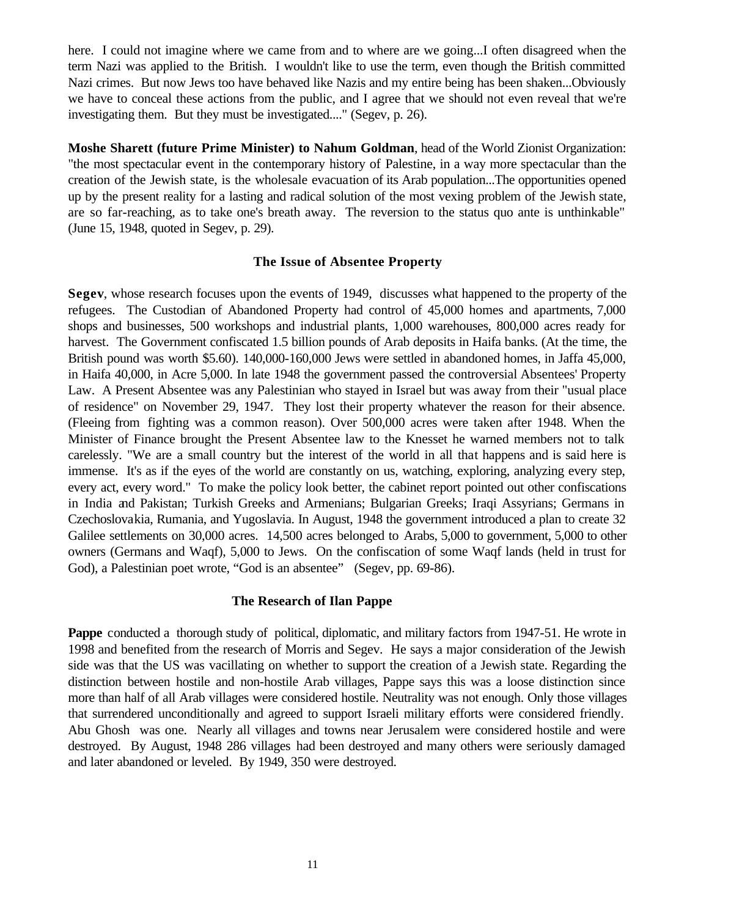here. I could not imagine where we came from and to where are we going...I often disagreed when the term Nazi was applied to the British. I wouldn't like to use the term, even though the British committed Nazi crimes. But now Jews too have behaved like Nazis and my entire being has been shaken...Obviously we have to conceal these actions from the public, and I agree that we should not even reveal that we're investigating them. But they must be investigated...." (Segev, p. 26).

**Moshe Sharett (future Prime Minister) to Nahum Goldman**, head of the World Zionist Organization: "the most spectacular event in the contemporary history of Palestine, in a way more spectacular than the creation of the Jewish state, is the wholesale evacuation of its Arab population...The opportunities opened up by the present reality for a lasting and radical solution of the most vexing problem of the Jewish state, are so far-reaching, as to take one's breath away. The reversion to the status quo ante is unthinkable" (June 15, 1948, quoted in Segev, p. 29).

### **The Issue of Absentee Property**

**Segev**, whose research focuses upon the events of 1949, discusses what happened to the property of the refugees. The Custodian of Abandoned Property had control of 45,000 homes and apartments, 7,000 shops and businesses, 500 workshops and industrial plants, 1,000 warehouses, 800,000 acres ready for harvest. The Government confiscated 1.5 billion pounds of Arab deposits in Haifa banks. (At the time, the British pound was worth \$5.60). 140,000-160,000 Jews were settled in abandoned homes, in Jaffa 45,000, in Haifa 40,000, in Acre 5,000. In late 1948 the government passed the controversial Absentees' Property Law. A Present Absentee was any Palestinian who stayed in Israel but was away from their "usual place of residence" on November 29, 1947. They lost their property whatever the reason for their absence. (Fleeing from fighting was a common reason). Over 500,000 acres were taken after 1948. When the Minister of Finance brought the Present Absentee law to the Knesset he warned members not to talk carelessly. "We are a small country but the interest of the world in all that happens and is said here is immense. It's as if the eyes of the world are constantly on us, watching, exploring, analyzing every step, every act, every word." To make the policy look better, the cabinet report pointed out other confiscations in India and Pakistan; Turkish Greeks and Armenians; Bulgarian Greeks; Iraqi Assyrians; Germans in Czechoslovakia, Rumania, and Yugoslavia. In August, 1948 the government introduced a plan to create 32 Galilee settlements on 30,000 acres. 14,500 acres belonged to Arabs, 5,000 to government, 5,000 to other owners (Germans and Waqf), 5,000 to Jews. On the confiscation of some Waqf lands (held in trust for God), a Palestinian poet wrote, "God is an absentee" (Segev, pp. 69-86).

### **The Research of Ilan Pappe**

**Pappe** conducted a thorough study of political, diplomatic, and military factors from 1947-51. He wrote in 1998 and benefited from the research of Morris and Segev. He says a major consideration of the Jewish side was that the US was vacillating on whether to support the creation of a Jewish state. Regarding the distinction between hostile and non-hostile Arab villages, Pappe says this was a loose distinction since more than half of all Arab villages were considered hostile. Neutrality was not enough. Only those villages that surrendered unconditionally and agreed to support Israeli military efforts were considered friendly. Abu Ghosh was one. Nearly all villages and towns near Jerusalem were considered hostile and were destroyed. By August, 1948 286 villages had been destroyed and many others were seriously damaged and later abandoned or leveled. By 1949, 350 were destroyed.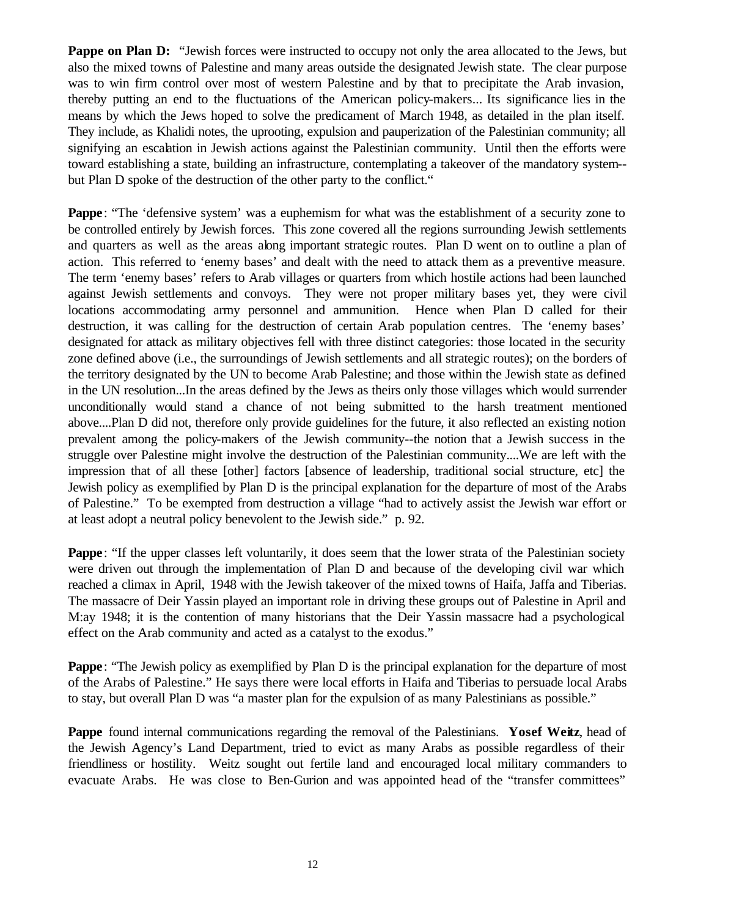**Pappe on Plan D:** "Jewish forces were instructed to occupy not only the area allocated to the Jews, but also the mixed towns of Palestine and many areas outside the designated Jewish state. The clear purpose was to win firm control over most of western Palestine and by that to precipitate the Arab invasion, thereby putting an end to the fluctuations of the American policy-makers... Its significance lies in the means by which the Jews hoped to solve the predicament of March 1948, as detailed in the plan itself. They include, as Khalidi notes, the uprooting, expulsion and pauperization of the Palestinian community; all signifying an escalation in Jewish actions against the Palestinian community. Until then the efforts were toward establishing a state, building an infrastructure, contemplating a takeover of the mandatory system- but Plan D spoke of the destruction of the other party to the conflict."

**Pappe**: "The 'defensive system' was a euphemism for what was the establishment of a security zone to be controlled entirely by Jewish forces. This zone covered all the regions surrounding Jewish settlements and quarters as well as the areas along important strategic routes. Plan D went on to outline a plan of action. This referred to 'enemy bases' and dealt with the need to attack them as a preventive measure. The term 'enemy bases' refers to Arab villages or quarters from which hostile actions had been launched against Jewish settlements and convoys. They were not proper military bases yet, they were civil locations accommodating army personnel and ammunition. Hence when Plan D called for their destruction, it was calling for the destruction of certain Arab population centres. The 'enemy bases' designated for attack as military objectives fell with three distinct categories: those located in the security zone defined above (i.e., the surroundings of Jewish settlements and all strategic routes); on the borders of the territory designated by the UN to become Arab Palestine; and those within the Jewish state as defined in the UN resolution...In the areas defined by the Jews as theirs only those villages which would surrender unconditionally would stand a chance of not being submitted to the harsh treatment mentioned above....Plan D did not, therefore only provide guidelines for the future, it also reflected an existing notion prevalent among the policy-makers of the Jewish community--the notion that a Jewish success in the struggle over Palestine might involve the destruction of the Palestinian community....We are left with the impression that of all these [other] factors [absence of leadership, traditional social structure, etc] the Jewish policy as exemplified by Plan D is the principal explanation for the departure of most of the Arabs of Palestine." To be exempted from destruction a village "had to actively assist the Jewish war effort or at least adopt a neutral policy benevolent to the Jewish side." p. 92.

**Pappe**: "If the upper classes left voluntarily, it does seem that the lower strata of the Palestinian society were driven out through the implementation of Plan D and because of the developing civil war which reached a climax in April, 1948 with the Jewish takeover of the mixed towns of Haifa, Jaffa and Tiberias. The massacre of Deir Yassin played an important role in driving these groups out of Palestine in April and M:ay 1948; it is the contention of many historians that the Deir Yassin massacre had a psychological effect on the Arab community and acted as a catalyst to the exodus."

**Pappe**: "The Jewish policy as exemplified by Plan D is the principal explanation for the departure of most of the Arabs of Palestine." He says there were local efforts in Haifa and Tiberias to persuade local Arabs to stay, but overall Plan D was "a master plan for the expulsion of as many Palestinians as possible."

**Pappe** found internal communications regarding the removal of the Palestinians. **Yosef Weitz**, head of the Jewish Agency's Land Department, tried to evict as many Arabs as possible regardless of their friendliness or hostility. Weitz sought out fertile land and encouraged local military commanders to evacuate Arabs. He was close to Ben-Gurion and was appointed head of the "transfer committees"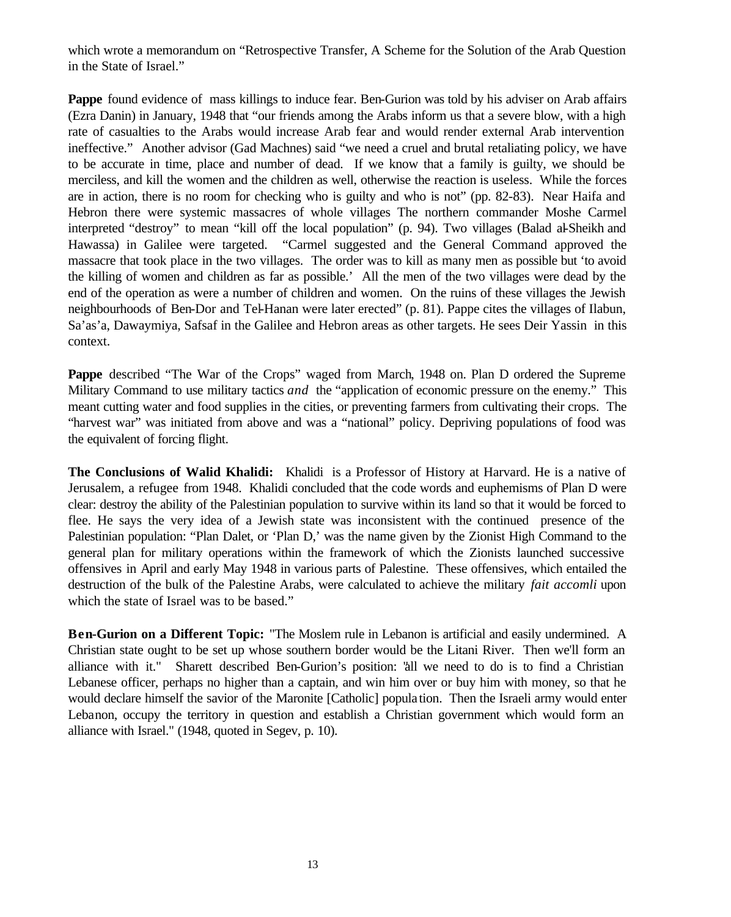which wrote a memorandum on "Retrospective Transfer, A Scheme for the Solution of the Arab Question in the State of Israel."

**Pappe** found evidence of mass killings to induce fear. Ben-Gurion was told by his adviser on Arab affairs (Ezra Danin) in January, 1948 that "our friends among the Arabs inform us that a severe blow, with a high rate of casualties to the Arabs would increase Arab fear and would render external Arab intervention ineffective." Another advisor (Gad Machnes) said "we need a cruel and brutal retaliating policy, we have to be accurate in time, place and number of dead. If we know that a family is guilty, we should be merciless, and kill the women and the children as well, otherwise the reaction is useless. While the forces are in action, there is no room for checking who is guilty and who is not" (pp. 82-83). Near Haifa and Hebron there were systemic massacres of whole villages The northern commander Moshe Carmel interpreted "destroy" to mean "kill off the local population" (p. 94). Two villages (Balad al-Sheikh and Hawassa) in Galilee were targeted. "Carmel suggested and the General Command approved the massacre that took place in the two villages. The order was to kill as many men as possible but 'to avoid the killing of women and children as far as possible.' All the men of the two villages were dead by the end of the operation as were a number of children and women. On the ruins of these villages the Jewish neighbourhoods of Ben-Dor and Tel-Hanan were later erected" (p. 81). Pappe cites the villages of Ilabun, Sa'as'a, Dawaymiya, Safsaf in the Galilee and Hebron areas as other targets. He sees Deir Yassin in this context.

**Pappe** described "The War of the Crops" waged from March, 1948 on. Plan D ordered the Supreme Military Command to use military tactics *and* the "application of economic pressure on the enemy." This meant cutting water and food supplies in the cities, or preventing farmers from cultivating their crops. The "harvest war" was initiated from above and was a "national" policy. Depriving populations of food was the equivalent of forcing flight.

**The Conclusions of Walid Khalidi:** Khalidi is a Professor of History at Harvard. He is a native of Jerusalem, a refugee from 1948. Khalidi concluded that the code words and euphemisms of Plan D were clear: destroy the ability of the Palestinian population to survive within its land so that it would be forced to flee. He says the very idea of a Jewish state was inconsistent with the continued presence of the Palestinian population: "Plan Dalet, or 'Plan D,' was the name given by the Zionist High Command to the general plan for military operations within the framework of which the Zionists launched successive offensives in April and early May 1948 in various parts of Palestine. These offensives, which entailed the destruction of the bulk of the Palestine Arabs, were calculated to achieve the military *fait accomli* upon which the state of Israel was to be based."

**Ben-Gurion on a Different Topic:** "The Moslem rule in Lebanon is artificial and easily undermined. A Christian state ought to be set up whose southern border would be the Litani River. Then we'll form an alliance with it." Sharett described Ben-Gurion's position: "all we need to do is to find a Christian Lebanese officer, perhaps no higher than a captain, and win him over or buy him with money, so that he would declare himself the savior of the Maronite [Catholic] popula tion. Then the Israeli army would enter Lebanon, occupy the territory in question and establish a Christian government which would form an alliance with Israel." (1948, quoted in Segev, p. 10).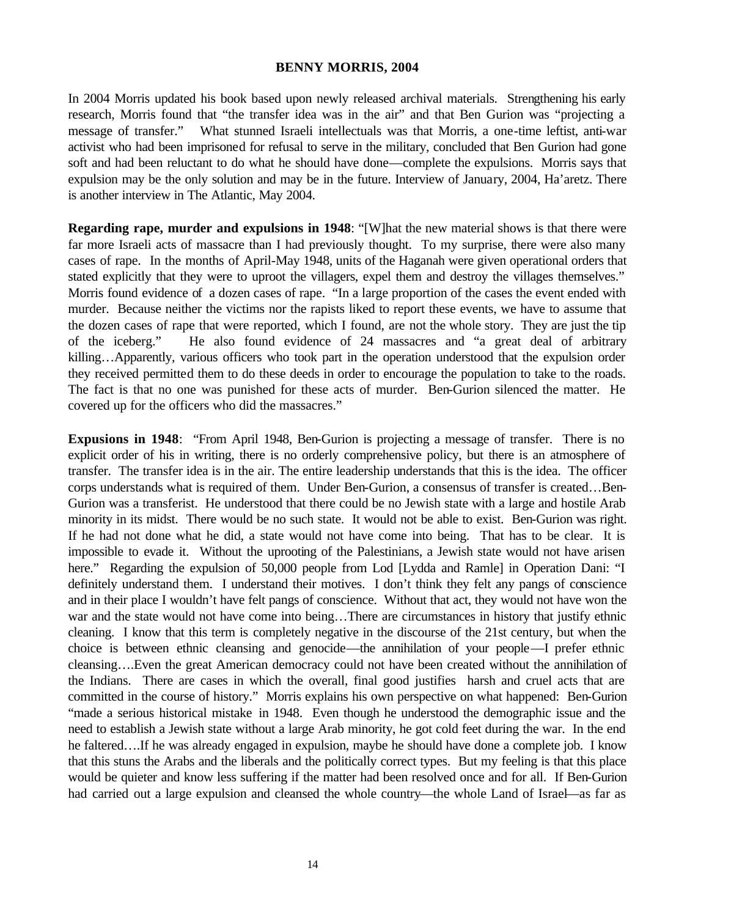#### **BENNY MORRIS, 2004**

In 2004 Morris updated his book based upon newly released archival materials. Strengthening his early research, Morris found that "the transfer idea was in the air" and that Ben Gurion was "projecting a message of transfer." What stunned Israeli intellectuals was that Morris, a one-time leftist, anti-war activist who had been imprisoned for refusal to serve in the military, concluded that Ben Gurion had gone soft and had been reluctant to do what he should have done—complete the expulsions. Morris says that expulsion may be the only solution and may be in the future. Interview of January, 2004, Ha'aretz. There is another interview in The Atlantic, May 2004.

**Regarding rape, murder and expulsions in 1948**: "[W]hat the new material shows is that there were far more Israeli acts of massacre than I had previously thought. To my surprise, there were also many cases of rape. In the months of April-May 1948, units of the Haganah were given operational orders that stated explicitly that they were to uproot the villagers, expel them and destroy the villages themselves." Morris found evidence of a dozen cases of rape. "In a large proportion of the cases the event ended with murder. Because neither the victims nor the rapists liked to report these events, we have to assume that the dozen cases of rape that were reported, which I found, are not the whole story. They are just the tip of the iceberg." He also found evidence of 24 massacres and "a great deal of arbitrary killing…Apparently, various officers who took part in the operation understood that the expulsion order they received permitted them to do these deeds in order to encourage the population to take to the roads. The fact is that no one was punished for these acts of murder. Ben-Gurion silenced the matter. He covered up for the officers who did the massacres."

**Expusions in 1948**: "From April 1948, Ben-Gurion is projecting a message of transfer. There is no explicit order of his in writing, there is no orderly comprehensive policy, but there is an atmosphere of transfer. The transfer idea is in the air. The entire leadership understands that this is the idea. The officer corps understands what is required of them. Under Ben-Gurion, a consensus of transfer is created…Ben-Gurion was a transferist. He understood that there could be no Jewish state with a large and hostile Arab minority in its midst. There would be no such state. It would not be able to exist. Ben-Gurion was right. If he had not done what he did, a state would not have come into being. That has to be clear. It is impossible to evade it. Without the uprooting of the Palestinians, a Jewish state would not have arisen here." Regarding the expulsion of 50,000 people from Lod [Lydda and Ramle] in Operation Dani: "I definitely understand them. I understand their motives. I don't think they felt any pangs of conscience and in their place I wouldn't have felt pangs of conscience. Without that act, they would not have won the war and the state would not have come into being...There are circumstances in history that justify ethnic cleaning. I know that this term is completely negative in the discourse of the 21st century, but when the choice is between ethnic cleansing and genocide—the annihilation of your people—I prefer ethnic cleansing….Even the great American democracy could not have been created without the annihilation of the Indians. There are cases in which the overall, final good justifies harsh and cruel acts that are committed in the course of history." Morris explains his own perspective on what happened: Ben-Gurion "made a serious historical mistake in 1948. Even though he understood the demographic issue and the need to establish a Jewish state without a large Arab minority, he got cold feet during the war. In the end he faltered….If he was already engaged in expulsion, maybe he should have done a complete job. I know that this stuns the Arabs and the liberals and the politically correct types. But my feeling is that this place would be quieter and know less suffering if the matter had been resolved once and for all. If Ben-Gurion had carried out a large expulsion and cleansed the whole country—the whole Land of Israel—as far as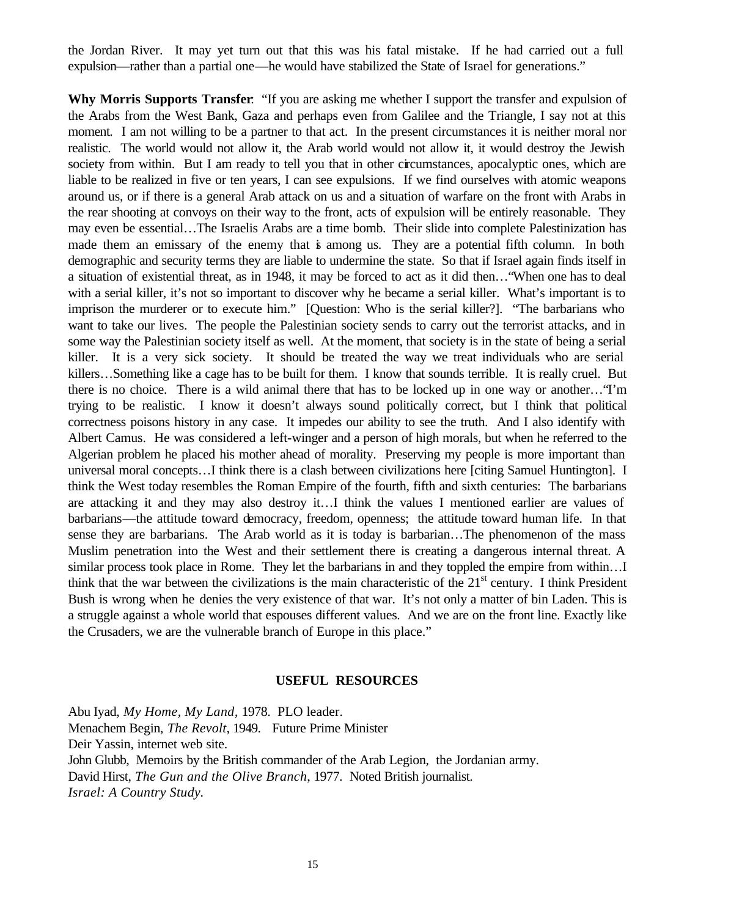the Jordan River. It may yet turn out that this was his fatal mistake. If he had carried out a full expulsion—rather than a partial one—he would have stabilized the State of Israel for generations."

**Why Morris Supports Transfer**: "If you are asking me whether I support the transfer and expulsion of the Arabs from the West Bank, Gaza and perhaps even from Galilee and the Triangle, I say not at this moment. I am not willing to be a partner to that act. In the present circumstances it is neither moral nor realistic. The world would not allow it, the Arab world would not allow it, it would destroy the Jewish society from within. But I am ready to tell you that in other circumstances, apocalyptic ones, which are liable to be realized in five or ten years, I can see expulsions. If we find ourselves with atomic weapons around us, or if there is a general Arab attack on us and a situation of warfare on the front with Arabs in the rear shooting at convoys on their way to the front, acts of expulsion will be entirely reasonable. They may even be essential…The Israelis Arabs are a time bomb. Their slide into complete Palestinization has made them an emissary of the enemy that is among us. They are a potential fifth column. In both demographic and security terms they are liable to undermine the state. So that if Israel again finds itself in a situation of existential threat, as in 1948, it may be forced to act as it did then…"When one has to deal with a serial killer, it's not so important to discover why he became a serial killer. What's important is to imprison the murderer or to execute him." [Question: Who is the serial killer?]. "The barbarians who want to take our lives. The people the Palestinian society sends to carry out the terrorist attacks, and in some way the Palestinian society itself as well. At the moment, that society is in the state of being a serial killer. It is a very sick society. It should be treated the way we treat individuals who are serial killers…Something like a cage has to be built for them. I know that sounds terrible. It is really cruel. But there is no choice. There is a wild animal there that has to be locked up in one way or another…"I'm trying to be realistic. I know it doesn't always sound politically correct, but I think that political correctness poisons history in any case. It impedes our ability to see the truth. And I also identify with Albert Camus. He was considered a left-winger and a person of high morals, but when he referred to the Algerian problem he placed his mother ahead of morality. Preserving my people is more important than universal moral concepts…I think there is a clash between civilizations here [citing Samuel Huntington]. I think the West today resembles the Roman Empire of the fourth, fifth and sixth centuries: The barbarians are attacking it and they may also destroy it…I think the values I mentioned earlier are values of barbarians—the attitude toward democracy, freedom, openness; the attitude toward human life. In that sense they are barbarians. The Arab world as it is today is barbarian…The phenomenon of the mass Muslim penetration into the West and their settlement there is creating a dangerous internal threat. A similar process took place in Rome. They let the barbarians in and they toppled the empire from within...I think that the war between the civilizations is the main characteristic of the  $21<sup>st</sup>$  century. I think President Bush is wrong when he denies the very existence of that war. It's not only a matter of bin Laden. This is a struggle against a whole world that espouses different values. And we are on the front line. Exactly like the Crusaders, we are the vulnerable branch of Europe in this place."

### **USEFUL RESOURCES**

Abu Iyad, *My Home, My Land,* 1978. PLO leader. Menachem Begin, *The Revolt*, 1949.Future Prime Minister Deir Yassin, internet web site. John Glubb,Memoirs by the British commander of the Arab Legion, the Jordanian army. David Hirst, *The Gun and the Olive Branch*, 1977. Noted British journalist. *Israel: A Country Study.*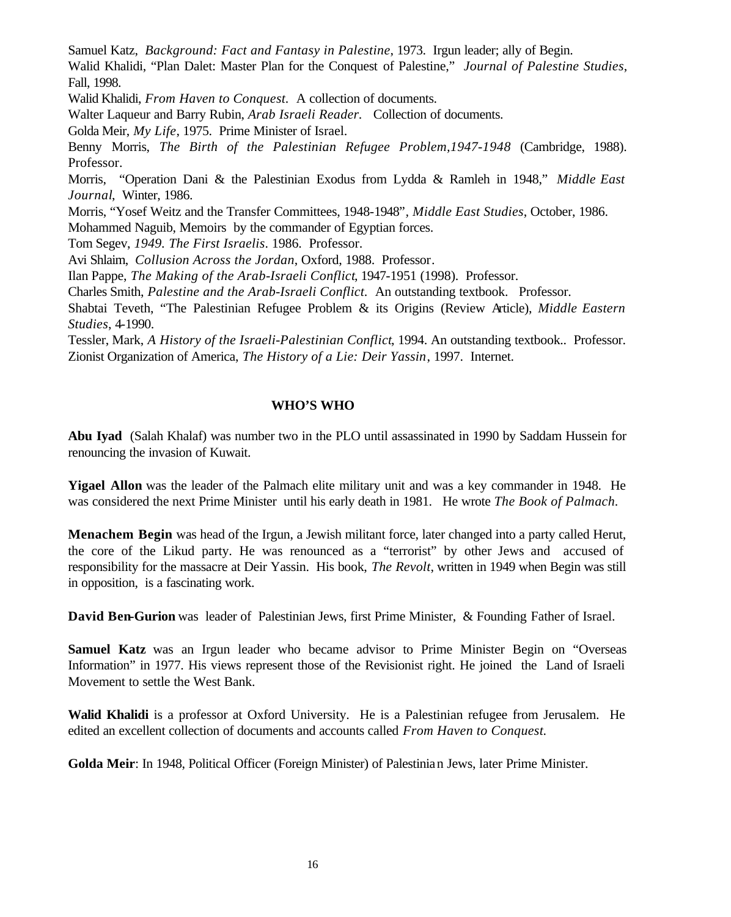Samuel Katz, *Background: Fact and Fantasy in Palestine*, 1973. Irgun leader; ally of Begin. Walid Khalidi, "Plan Dalet: Master Plan for the Conquest of Palestine," *Journal of Palestine Studies*, Fall, 1998.

Walid Khalidi, *From Haven to Conquest.* A collection of documents.

Walter Laqueur and Barry Rubin, *Arab Israeli Reader.* Collection of documents.

Golda Meir, *My Life*, 1975. Prime Minister of Israel.

Benny Morris, *The Birth of the Palestinian Refugee Problem,1947-1948* (Cambridge, 1988). Professor.

Morris, "Operation Dani & the Palestinian Exodus from Lydda & Ramleh in 1948," *Middle East Journal*, Winter, 1986.

Morris, "Yosef Weitz and the Transfer Committees, 1948-1948"*, Middle East Studies*, October, 1986.

Mohammed Naguib, Memoirs by the commander of Egyptian forces.

Tom Segev, *1949. The First Israelis*. 1986. Professor.

Avi Shlaim, *Collusion Across the Jordan*, Oxford, 1988. Professor.

Ilan Pappe, *The Making of the Arab-Israeli Conflict*, 1947-1951 (1998). Professor.

Charles Smith, *Palestine and the Arab-Israeli Conflict.* An outstanding textbook. Professor.

Shabtai Teveth, "The Palestinian Refugee Problem & its Origins (Review Article), *Middle Eastern Studies*, 4-1990.

Tessler, Mark, *A History of the Israeli-Palestinian Conflict*, 1994. An outstanding textbook.. Professor. Zionist Organization of America, *The History of a Lie: Deir Yassin*, 1997. Internet.

## **WHO'S WHO**

**Abu Iyad** (Salah Khalaf) was number two in the PLO until assassinated in 1990 by Saddam Hussein for renouncing the invasion of Kuwait.

**Yigael Allon** was the leader of the Palmach elite military unit and was a key commander in 1948. He was considered the next Prime Minister until his early death in 1981. He wrote *The Book of Palmach.* 

**Menachem Begin** was head of the Irgun, a Jewish militant force, later changed into a party called Herut, the core of the Likud party. He was renounced as a "terrorist" by other Jews and accused of responsibility for the massacre at Deir Yassin. His book, *The Revolt*, written in 1949 when Begin was still in opposition, is a fascinating work.

**David Ben-Gurion** was leader of Palestinian Jews, first Prime Minister, & Founding Father of Israel.

**Samuel Katz** was an Irgun leader who became advisor to Prime Minister Begin on "Overseas" Information" in 1977. His views represent those of the Revisionist right. He joined the Land of Israeli Movement to settle the West Bank.

**Walid Khalidi** is a professor at Oxford University. He is a Palestinian refugee from Jerusalem. He edited an excellent collection of documents and accounts called *From Haven to Conquest.* 

**Golda Meir**: In 1948, Political Officer (Foreign Minister) of Palestinian Jews, later Prime Minister.